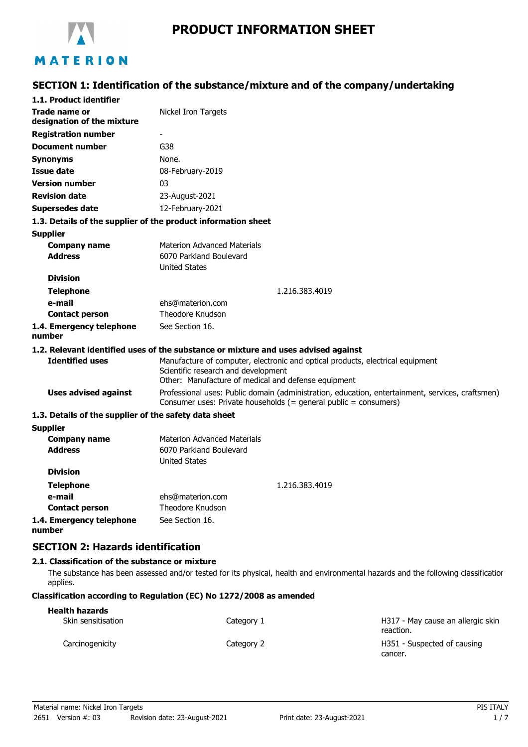

# MATERION

# **SECTION 1: Identification of the substance/mixture and of the company/undertaking**

| 1.1. Product identifier                                       |                                                                                                                                                                              |  |
|---------------------------------------------------------------|------------------------------------------------------------------------------------------------------------------------------------------------------------------------------|--|
| <b>Trade name or</b><br>designation of the mixture            | Nickel Iron Targets                                                                                                                                                          |  |
| <b>Registration number</b>                                    |                                                                                                                                                                              |  |
| <b>Document number</b>                                        | G38                                                                                                                                                                          |  |
| <b>Synonyms</b>                                               | None.                                                                                                                                                                        |  |
| <b>Issue date</b>                                             | 08-February-2019                                                                                                                                                             |  |
| <b>Version number</b>                                         | 03                                                                                                                                                                           |  |
| <b>Revision date</b>                                          | 23-August-2021                                                                                                                                                               |  |
| <b>Supersedes date</b>                                        | 12-February-2021                                                                                                                                                             |  |
| 1.3. Details of the supplier of the product information sheet |                                                                                                                                                                              |  |
| <b>Supplier</b>                                               |                                                                                                                                                                              |  |
| <b>Company name</b>                                           | <b>Materion Advanced Materials</b>                                                                                                                                           |  |
| <b>Address</b>                                                | 6070 Parkland Boulevard                                                                                                                                                      |  |
| <b>Division</b>                                               | <b>United States</b>                                                                                                                                                         |  |
|                                                               |                                                                                                                                                                              |  |
| <b>Telephone</b><br>e-mail                                    | 1.216.383.4019                                                                                                                                                               |  |
| <b>Contact person</b>                                         | ehs@materion.com<br>Theodore Knudson                                                                                                                                         |  |
| 1.4. Emergency telephone                                      | See Section 16.                                                                                                                                                              |  |
| number                                                        |                                                                                                                                                                              |  |
|                                                               | 1.2. Relevant identified uses of the substance or mixture and uses advised against                                                                                           |  |
| <b>Identified uses</b>                                        | Manufacture of computer, electronic and optical products, electrical equipment<br>Scientific research and development<br>Other: Manufacture of medical and defense equipment |  |
| <b>Uses advised against</b>                                   | Professional uses: Public domain (administration, education, entertainment, services, craftsmen)<br>Consumer uses: Private households (= general public = consumers)         |  |
| 1.3. Details of the supplier of the safety data sheet         |                                                                                                                                                                              |  |
| <b>Supplier</b>                                               |                                                                                                                                                                              |  |
| <b>Company name</b>                                           | <b>Materion Advanced Materials</b>                                                                                                                                           |  |
| <b>Address</b>                                                | 6070 Parkland Boulevard<br><b>United States</b>                                                                                                                              |  |
| <b>Division</b>                                               |                                                                                                                                                                              |  |
| <b>Telephone</b>                                              | 1.216.383.4019                                                                                                                                                               |  |
| e-mail                                                        | ehs@materion.com                                                                                                                                                             |  |
| <b>Contact person</b>                                         | Theodore Knudson                                                                                                                                                             |  |
| 1.4. Emergency telephone                                      | See Section 16.                                                                                                                                                              |  |

**number**

**SECTION 2: Hazards identification**

#### **2.1. Classification of the substance or mixture**

The substance has been assessed and/or tested for its physical, health and environmental hazards and the following classification applies.

#### **Classification according to Regulation (EC) No 1272/2008 as amended**

| <b>Health hazards</b> |            |                                                |
|-----------------------|------------|------------------------------------------------|
| Skin sensitisation    | Category 1 | H317 - May cause an allergic skin<br>reaction. |
| Carcinogenicity       | Category 2 | H351 - Suspected of causing<br>cancer.         |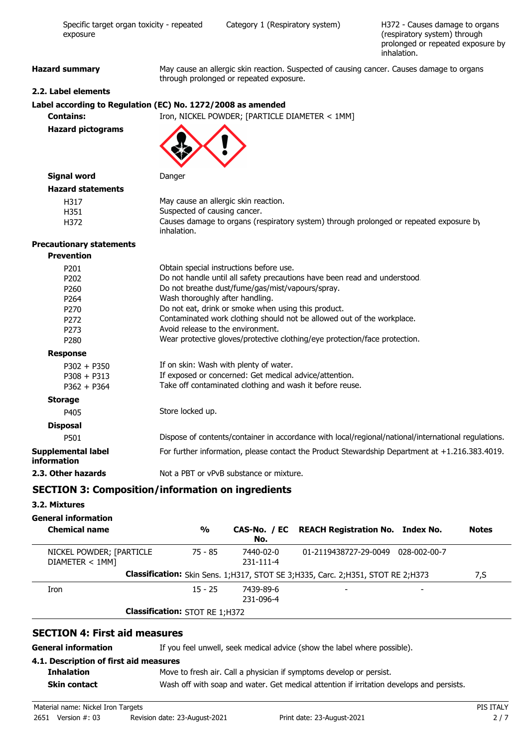| Specific target organ toxicity - repeated<br>exposure        |                                             | Category 1 (Respiratory system)                                                                                                                                                                                                                                                                                                                                                                                                                                 | H372 - Causes damage to organs<br>(respiratory system) through<br>prolonged or repeated exposure by<br>inhalation. |
|--------------------------------------------------------------|---------------------------------------------|-----------------------------------------------------------------------------------------------------------------------------------------------------------------------------------------------------------------------------------------------------------------------------------------------------------------------------------------------------------------------------------------------------------------------------------------------------------------|--------------------------------------------------------------------------------------------------------------------|
| <b>Hazard summary</b>                                        |                                             | May cause an allergic skin reaction. Suspected of causing cancer. Causes damage to organs<br>through prolonged or repeated exposure.                                                                                                                                                                                                                                                                                                                            |                                                                                                                    |
| 2.2. Label elements                                          |                                             |                                                                                                                                                                                                                                                                                                                                                                                                                                                                 |                                                                                                                    |
| Label according to Regulation (EC) No. 1272/2008 as amended  |                                             |                                                                                                                                                                                                                                                                                                                                                                                                                                                                 |                                                                                                                    |
| <b>Contains:</b>                                             |                                             | Iron, NICKEL POWDER; [PARTICLE DIAMETER < 1MM]                                                                                                                                                                                                                                                                                                                                                                                                                  |                                                                                                                    |
| <b>Hazard pictograms</b>                                     |                                             |                                                                                                                                                                                                                                                                                                                                                                                                                                                                 |                                                                                                                    |
| <b>Signal word</b>                                           | Danger                                      |                                                                                                                                                                                                                                                                                                                                                                                                                                                                 |                                                                                                                    |
| <b>Hazard statements</b>                                     |                                             |                                                                                                                                                                                                                                                                                                                                                                                                                                                                 |                                                                                                                    |
| H317<br>H351<br>H372                                         | Suspected of causing cancer.<br>inhalation. | May cause an allergic skin reaction.<br>Causes damage to organs (respiratory system) through prolonged or repeated exposure by                                                                                                                                                                                                                                                                                                                                  |                                                                                                                    |
| <b>Precautionary statements</b>                              |                                             |                                                                                                                                                                                                                                                                                                                                                                                                                                                                 |                                                                                                                    |
| <b>Prevention</b>                                            |                                             |                                                                                                                                                                                                                                                                                                                                                                                                                                                                 |                                                                                                                    |
| P201<br>P202<br>P260<br>P264<br>P270<br>P272<br>P273<br>P280 |                                             | Obtain special instructions before use.<br>Do not handle until all safety precautions have been read and understood.<br>Do not breathe dust/fume/gas/mist/vapours/spray.<br>Wash thoroughly after handling.<br>Do not eat, drink or smoke when using this product.<br>Contaminated work clothing should not be allowed out of the workplace.<br>Avoid release to the environment.<br>Wear protective gloves/protective clothing/eye protection/face protection. |                                                                                                                    |
| <b>Response</b>                                              |                                             |                                                                                                                                                                                                                                                                                                                                                                                                                                                                 |                                                                                                                    |
| $P302 + P350$<br>$P308 + P313$<br>$P362 + P364$              |                                             | If on skin: Wash with plenty of water.<br>If exposed or concerned: Get medical advice/attention.<br>Take off contaminated clothing and wash it before reuse.                                                                                                                                                                                                                                                                                                    |                                                                                                                    |
| <b>Storage</b>                                               |                                             |                                                                                                                                                                                                                                                                                                                                                                                                                                                                 |                                                                                                                    |
| P405                                                         | Store locked up.                            |                                                                                                                                                                                                                                                                                                                                                                                                                                                                 |                                                                                                                    |
| <b>Disposal</b>                                              |                                             |                                                                                                                                                                                                                                                                                                                                                                                                                                                                 |                                                                                                                    |
| P501                                                         |                                             | Dispose of contents/container in accordance with local/regional/national/international regulations.                                                                                                                                                                                                                                                                                                                                                             |                                                                                                                    |
| Supplemental label<br>information                            |                                             | For further information, please contact the Product Stewardship Department at +1.216.383.4019.                                                                                                                                                                                                                                                                                                                                                                  |                                                                                                                    |
| 2.3. Other hazards                                           |                                             | Not a PBT or vPvB substance or mixture.                                                                                                                                                                                                                                                                                                                                                                                                                         |                                                                                                                    |

# **SECTION 3: Composition/information on ingredients**

# **3.2. Mixtures**

# **General information**

| <b>Chemical name</b>                        | $\frac{0}{0}$                         | No.                          | CAS-No. / EC REACH Registration No. Index No.                                       | <b>Notes</b> |
|---------------------------------------------|---------------------------------------|------------------------------|-------------------------------------------------------------------------------------|--------------|
| NICKEL POWDER; [PARTICLE<br>DIAMETER < 1MM] | 75 - 85                               | 7440-02-0<br>$231 - 111 - 4$ | 01-2119438727-29-0049 028-002-00-7                                                  |              |
|                                             |                                       |                              | Classification: Skin Sens. 1; H317, STOT SE 3; H335, Carc. 2; H351, STOT RE 2; H373 | 7,S          |
| Iron                                        | $15 - 25$                             | 7439-89-6<br>231-096-4       |                                                                                     |              |
|                                             | <b>Classification: STOT RE 1;H372</b> |                              |                                                                                     |              |

## **SECTION 4: First aid measures**

**General information** If you feel unwell, seek medical advice (show the label where possible).

#### **4.1. Description of first aid measures Inhalation**

| Move to fresh air. Call a physician if symptoms develop or persist. |
|---------------------------------------------------------------------|
|---------------------------------------------------------------------|

**Skin contact** Wash off with soap and water. Get medical attention if irritation develops and persists.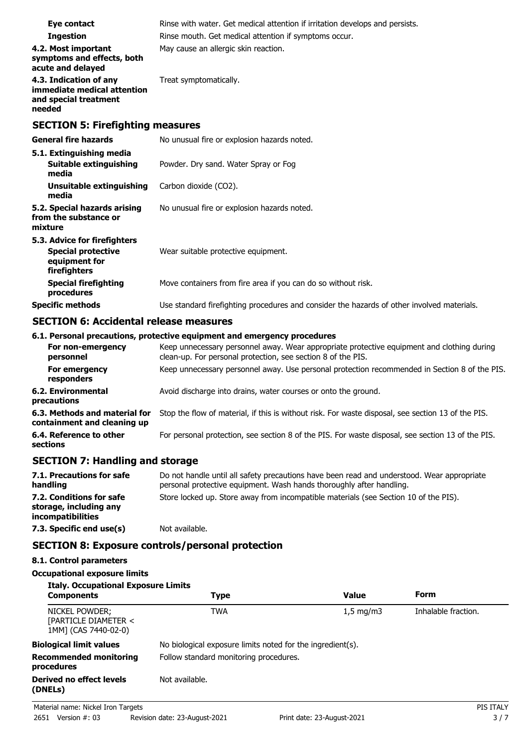| Eye contact<br><b>Ingestion</b><br>4.2. Most important<br>symptoms and effects, both<br>acute and delayed | Rinse with water. Get medical attention if irritation develops and persists.<br>Rinse mouth. Get medical attention if symptoms occur.<br>May cause an allergic skin reaction. |  |  |
|-----------------------------------------------------------------------------------------------------------|-------------------------------------------------------------------------------------------------------------------------------------------------------------------------------|--|--|
| 4.3. Indication of any<br>immediate medical attention<br>and special treatment<br>needed                  | Treat symptomatically.                                                                                                                                                        |  |  |
| <b>SECTION 5: Firefighting measures</b>                                                                   |                                                                                                                                                                               |  |  |
| <b>General fire hazards</b>                                                                               | No unusual fire or explosion hazards noted.                                                                                                                                   |  |  |
| 5.1. Extinguishing media<br><b>Suitable extinguishing</b><br>media                                        | Powder. Dry sand. Water Spray or Fog                                                                                                                                          |  |  |
| Unsuitable extinguishing<br>media                                                                         | Carbon dioxide (CO2).                                                                                                                                                         |  |  |
| 5.2. Special hazards arising<br>from the substance or<br>mixture                                          | No unusual fire or explosion hazards noted.                                                                                                                                   |  |  |
| 5.3. Advice for firefighters<br><b>Special protective</b><br>equipment for<br>firefighters                | Wear suitable protective equipment.                                                                                                                                           |  |  |
| <b>Special firefighting</b><br>procedures                                                                 | Move containers from fire area if you can do so without risk.                                                                                                                 |  |  |
| <b>Specific methods</b>                                                                                   | Use standard firefighting procedures and consider the hazards of other involved materials.                                                                                    |  |  |

## **SECTION 6: Accidental release measures**

#### **6.1. Personal precautions, protective equipment and emergency procedures**

| For non-emergency<br>personnel                               | Keep unnecessary personnel away. Wear appropriate protective equipment and clothing during<br>clean-up. For personal protection, see section 8 of the PIS. |
|--------------------------------------------------------------|------------------------------------------------------------------------------------------------------------------------------------------------------------|
| For emergency<br>responders                                  | Keep unnecessary personnel away. Use personal protection recommended in Section 8 of the PIS.                                                              |
| <b>6.2. Environmental</b><br>precautions                     | Avoid discharge into drains, water courses or onto the ground.                                                                                             |
| 6.3. Methods and material for<br>containment and cleaning up | Stop the flow of material, if this is without risk. For waste disposal, see section 13 of the PIS.                                                         |
| 6.4. Reference to other<br>sections                          | For personal protection, see section 8 of the PIS. For waste disposal, see section 13 of the PIS.                                                          |

# **SECTION 7: Handling and storage**

| 7.1. Precautions for safe<br>handling                                          | Do not handle until all safety precautions have been read and understood. Wear appropriate<br>personal protective equipment. Wash hands thoroughly after handling. |
|--------------------------------------------------------------------------------|--------------------------------------------------------------------------------------------------------------------------------------------------------------------|
| 7.2. Conditions for safe<br>storage, including any<br><i>incompatibilities</i> | Store locked up. Store away from incompatible materials (see Section 10 of the PIS).                                                                               |
| 7.3. Specific end use(s)                                                       | Not available.                                                                                                                                                     |

# **SECTION 8: Exposure controls/personal protection**

#### **8.1. Control parameters**

```
Italy. Occupational Exposure Limits
```

| <b>Components</b>                                              | <b>Type</b>                                                | <b>Value</b> | Form                |
|----------------------------------------------------------------|------------------------------------------------------------|--------------|---------------------|
| NICKEL POWDER;<br>[PARTICLE DIAMETER <<br>1MM] (CAS 7440-02-0) | <b>TWA</b>                                                 | $1,5$ mg/m3  | Inhalable fraction. |
| <b>Biological limit values</b>                                 | No biological exposure limits noted for the ingredient(s). |              |                     |
| <b>Recommended monitoring</b><br>procedures                    | Follow standard monitoring procedures.                     |              |                     |
| <b>Derived no effect levels</b><br>(DNELs)                     | Not available.                                             |              |                     |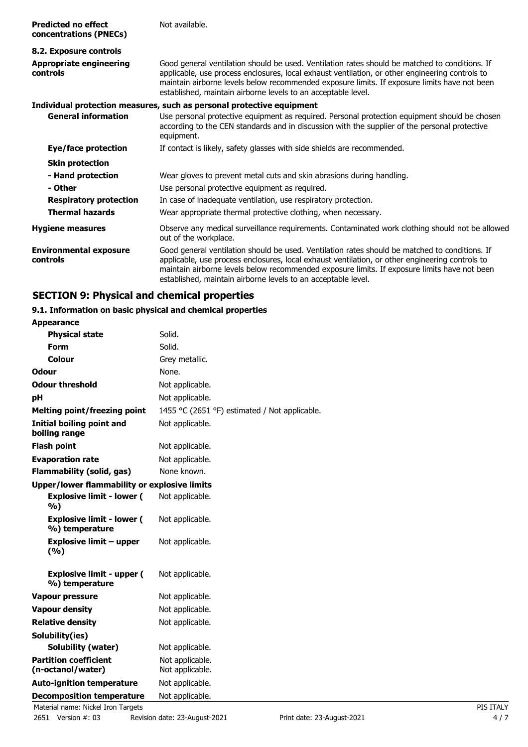| <b>Predicted no effect</b><br>concentrations (PNECs) | Not available.                                                                                                                                                                                                                                                                                                                                                     |
|------------------------------------------------------|--------------------------------------------------------------------------------------------------------------------------------------------------------------------------------------------------------------------------------------------------------------------------------------------------------------------------------------------------------------------|
| 8.2. Exposure controls                               |                                                                                                                                                                                                                                                                                                                                                                    |
| <b>Appropriate engineering</b><br>controls           | Good general ventilation should be used. Ventilation rates should be matched to conditions. If<br>applicable, use process enclosures, local exhaust ventilation, or other engineering controls to<br>maintain airborne levels below recommended exposure limits. If exposure limits have not been<br>established, maintain airborne levels to an acceptable level. |
|                                                      | Individual protection measures, such as personal protective equipment                                                                                                                                                                                                                                                                                              |
| <b>General information</b>                           | Use personal protective equipment as required. Personal protection equipment should be chosen<br>according to the CEN standards and in discussion with the supplier of the personal protective<br>equipment.                                                                                                                                                       |
| Eye/face protection                                  | If contact is likely, safety glasses with side shields are recommended.                                                                                                                                                                                                                                                                                            |
| <b>Skin protection</b>                               |                                                                                                                                                                                                                                                                                                                                                                    |
| - Hand protection                                    | Wear gloves to prevent metal cuts and skin abrasions during handling.                                                                                                                                                                                                                                                                                              |
| - Other                                              | Use personal protective equipment as required.                                                                                                                                                                                                                                                                                                                     |
| <b>Respiratory protection</b>                        | In case of inadequate ventilation, use respiratory protection.                                                                                                                                                                                                                                                                                                     |
| <b>Thermal hazards</b>                               | Wear appropriate thermal protective clothing, when necessary.                                                                                                                                                                                                                                                                                                      |
| <b>Hygiene measures</b>                              | Observe any medical surveillance requirements. Contaminated work clothing should not be allowed<br>out of the workplace.                                                                                                                                                                                                                                           |
| <b>Environmental exposure</b><br>controls            | Good general ventilation should be used. Ventilation rates should be matched to conditions. If<br>applicable, use process enclosures, local exhaust ventilation, or other engineering controls to<br>maintain airborne levels below recommended exposure limits. If exposure limits have not been<br>established, maintain airborne levels to an acceptable level. |

# **SECTION 9: Physical and chemical properties**

## **9.1. Information on basic physical and chemical properties**

| <b>Appearance</b>                                  |                                               |  |
|----------------------------------------------------|-----------------------------------------------|--|
| <b>Physical state</b>                              | Solid.                                        |  |
| Form                                               | Solid.                                        |  |
| Colour                                             | Grey metallic.                                |  |
| <b>Odour</b>                                       | None.                                         |  |
| <b>Odour threshold</b>                             | Not applicable.                               |  |
| рH                                                 | Not applicable.                               |  |
| <b>Melting point/freezing point</b>                | 1455 °C (2651 °F) estimated / Not applicable. |  |
| <b>Initial boiling point and</b><br>boiling range  | Not applicable.                               |  |
| <b>Flash point</b>                                 | Not applicable.                               |  |
| <b>Evaporation rate</b>                            | Not applicable.                               |  |
| <b>Flammability (solid, gas)</b>                   | None known.                                   |  |
| Upper/lower flammability or explosive limits       |                                               |  |
| <b>Explosive limit - lower (</b><br>%)             | Not applicable.                               |  |
| <b>Explosive limit - lower (</b><br>%) temperature | Not applicable.                               |  |
| <b>Explosive limit - upper</b><br>(%)              | Not applicable.                               |  |
| <b>Explosive limit - upper (</b><br>%) temperature | Not applicable.                               |  |
| <b>Vapour pressure</b>                             | Not applicable.                               |  |
| <b>Vapour density</b>                              | Not applicable.                               |  |
| <b>Relative density</b>                            | Not applicable.                               |  |
| Solubility(ies)                                    |                                               |  |
| Solubility (water)                                 | Not applicable.                               |  |
| <b>Partition coefficient</b><br>(n-octanol/water)  | Not applicable.<br>Not applicable.            |  |
| <b>Auto-ignition temperature</b>                   | Not applicable.                               |  |
| <b>Decomposition temperature</b>                   | Not applicable.                               |  |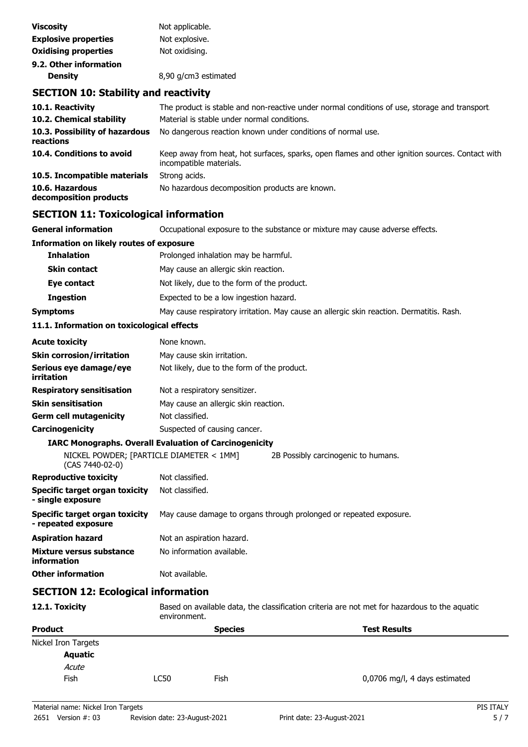| <b>Viscosity</b>            | Not applicable.      |
|-----------------------------|----------------------|
| <b>Explosive properties</b> | Not explosive.       |
| <b>Oxidising properties</b> | Not oxidising.       |
| 9.2. Other information      |                      |
| <b>Density</b>              | 8,90 g/cm3 estimated |
|                             |                      |

## **SECTION 10: Stability and reactivity**

| 10.1. Reactivity                            | The product is stable and non-reactive under normal conditions of use, storage and transport.                              |
|---------------------------------------------|----------------------------------------------------------------------------------------------------------------------------|
| 10.2. Chemical stability                    | Material is stable under normal conditions.                                                                                |
| 10.3. Possibility of hazardous<br>reactions | No dangerous reaction known under conditions of normal use.                                                                |
| 10.4. Conditions to avoid                   | Keep away from heat, hot surfaces, sparks, open flames and other ignition sources. Contact with<br>incompatible materials. |
| 10.5. Incompatible materials                | Strong acids.                                                                                                              |
| 10.6. Hazardous<br>decomposition products   | No hazardous decomposition products are known.                                                                             |

# **SECTION 11: Toxicological information**

**General information C**CCUPATION OCCUPATION EXPOSURE to the substance or mixture may cause adverse effects.

# **Information on likely routes of exposure Inhalation** Prolonged inhalation may be harmful. **Skin contact** May cause an allergic skin reaction. **Eye contact** Not likely, due to the form of the product. **Ingestion** Expected to be a low ingestion hazard. **Symptoms** May cause respiratory irritation. May cause an allergic skin reaction. Dermatitis. Rash.

#### **11.1. Information on toxicological effects**

| <b>Acute toxicity</b>                | None known.                                                   |                                     |
|--------------------------------------|---------------------------------------------------------------|-------------------------------------|
| <b>Skin corrosion/irritation</b>     | May cause skin irritation.                                    |                                     |
| Serious eye damage/eye<br>irritation | Not likely, due to the form of the product.                   |                                     |
| <b>Respiratory sensitisation</b>     | Not a respiratory sensitizer.                                 |                                     |
| <b>Skin sensitisation</b>            | May cause an allergic skin reaction.                          |                                     |
| <b>Germ cell mutagenicity</b>        | Not classified.                                               |                                     |
| Carcinogenicity                      | Suspected of causing cancer.                                  |                                     |
|                                      | <b>IARC Monographs. Overall Evaluation of Carcinogenicity</b> |                                     |
|                                      | NICKEL POWDER; [PARTICLE DIAMETER < 1MM]                      | 2B Possibly carcinogenic to humans. |

## (CAS 7440-02-0) **Reproductive toxicity** Not classified.

| Specific target organ toxicity | Not classified. |  |
|--------------------------------|-----------------|--|
| - single exposure              |                 |  |

#### **Specific target organ toxicity - repeated exposure** May cause damage to organs through prolonged or repeated exposure.

| <b>Aspiration hazard</b> | Not an aspiration hazard. |  |
|--------------------------|---------------------------|--|
| Mixture versus substance | No information available  |  |

| Mixture versus substance | <u>No information available</u> |
|--------------------------|---------------------------------|
| <b>information</b>       |                                 |

# **Other information** Not available.

# **SECTION 12: Ecological information**

**12.1. Toxicity** Based on available data, the classification criteria are not met for hazardous to the aquatic environment. **Product Contract Product Contract Product** Species **Species Test Results** Nickel Iron Targets

| <b>Aquatic</b> |             |
|----------------|-------------|
| Acute          |             |
| Fish           | <b>LC50</b> |
|                |             |

Fish 6,0706 mg/l, 4 days estimated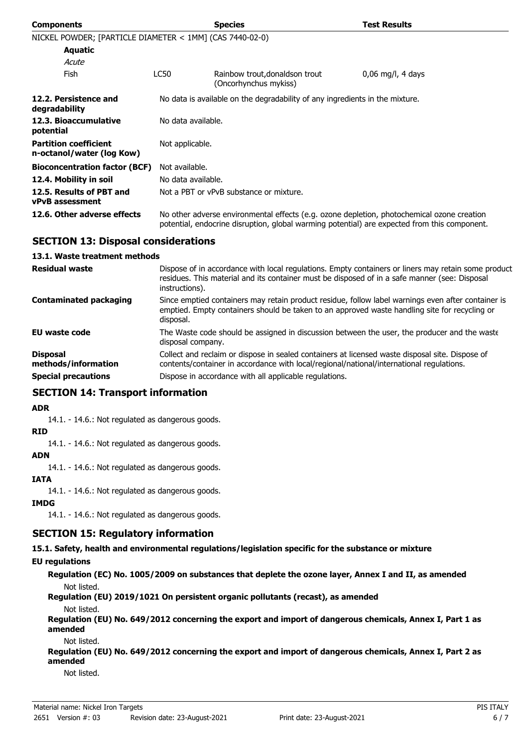| <b>Components</b>                                         |                                                                              | <b>Species</b>                                                                                                                                                                             | <b>Test Results</b> |
|-----------------------------------------------------------|------------------------------------------------------------------------------|--------------------------------------------------------------------------------------------------------------------------------------------------------------------------------------------|---------------------|
| NICKEL POWDER; [PARTICLE DIAMETER < 1MM] (CAS 7440-02-0)  |                                                                              |                                                                                                                                                                                            |                     |
| Aquatic                                                   |                                                                              |                                                                                                                                                                                            |                     |
| Acute                                                     |                                                                              |                                                                                                                                                                                            |                     |
| <b>Fish</b>                                               | LC50                                                                         | Rainbow trout, donaldson trout<br>(Oncorhynchus mykiss)                                                                                                                                    | $0,06$ mg/l, 4 days |
| 12.2. Persistence and<br>degradability                    | No data is available on the degradability of any ingredients in the mixture. |                                                                                                                                                                                            |                     |
| 12.3. Bioaccumulative<br>potential                        | No data available.                                                           |                                                                                                                                                                                            |                     |
| <b>Partition coefficient</b><br>n-octanol/water (log Kow) | Not applicable.                                                              |                                                                                                                                                                                            |                     |
| <b>Bioconcentration factor (BCF)</b>                      | Not available.                                                               |                                                                                                                                                                                            |                     |
| 12.4. Mobility in soil                                    | No data available.                                                           |                                                                                                                                                                                            |                     |
| 12.5. Results of PBT and<br><b>vPvB</b> assessment        |                                                                              | Not a PBT or vPvB substance or mixture.                                                                                                                                                    |                     |
| 12.6. Other adverse effects                               |                                                                              | No other adverse environmental effects (e.g. ozone depletion, photochemical ozone creation<br>potential, endocrine disruption, global warming potential) are expected from this component. |                     |

## **SECTION 13: Disposal considerations**

#### **13.1. Waste treatment methods**

| <b>Residual waste</b>                  | Dispose of in accordance with local regulations. Empty containers or liners may retain some product<br>residues. This material and its container must be disposed of in a safe manner (see: Disposal<br>instructions). |
|----------------------------------------|------------------------------------------------------------------------------------------------------------------------------------------------------------------------------------------------------------------------|
| <b>Contaminated packaging</b>          | Since emptied containers may retain product residue, follow label warnings even after container is<br>emptied. Empty containers should be taken to an approved waste handling site for recycling or<br>disposal.       |
| <b>EU waste code</b>                   | The Waste code should be assigned in discussion between the user, the producer and the waste<br>disposal company.                                                                                                      |
| <b>Disposal</b><br>methods/information | Collect and reclaim or dispose in sealed containers at licensed waste disposal site. Dispose of<br>contents/container in accordance with local/regional/national/international regulations.                            |
| <b>Special precautions</b>             | Dispose in accordance with all applicable regulations.                                                                                                                                                                 |

## **SECTION 14: Transport information**

#### **ADR**

14.1. - 14.6.: Not regulated as dangerous goods.

# **RID**

14.1. - 14.6.: Not regulated as dangerous goods.

#### **ADN**

14.1. - 14.6.: Not regulated as dangerous goods.

#### **IATA**

14.1. - 14.6.: Not regulated as dangerous goods.

#### **IMDG**

14.1. - 14.6.: Not regulated as dangerous goods.

## **SECTION 15: Regulatory information**

#### **15.1. Safety, health and environmental regulations/legislation specific for the substance or mixture**

# **EU regulations**

**Regulation (EC) No. 1005/2009 on substances that deplete the ozone layer, Annex I and II, as amended** Not listed.

#### **Regulation (EU) 2019/1021 On persistent organic pollutants (recast), as amended** Not listed.

**Regulation (EU) No. 649/2012 concerning the export and import of dangerous chemicals, Annex I, Part 1 as amended**

Not listed.

**Regulation (EU) No. 649/2012 concerning the export and import of dangerous chemicals, Annex I, Part 2 as amended**

#### Not listed.